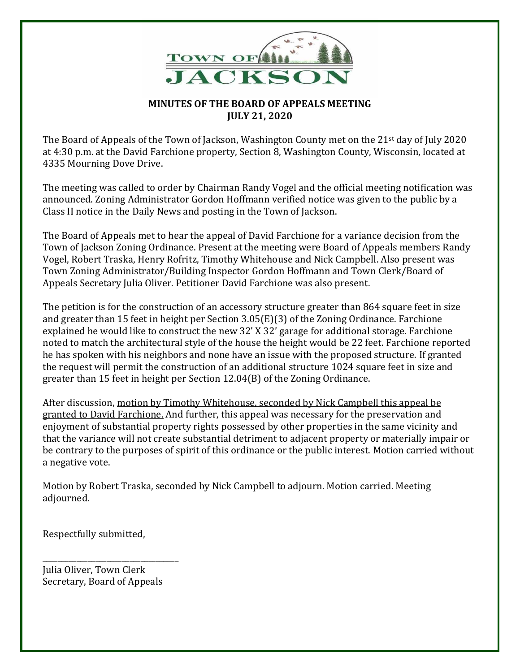

## **MINUTES OF THE BOARD OF APPEALS MEETING JULY 21, 2020**

The Board of Appeals of the Town of Jackson, Washington County met on the 21st day of July 2020 at 4:30 p.m. at the David Farchione property, Section 8, Washington County, Wisconsin, located at 4335 Mourning Dove Drive.

The meeting was called to order by Chairman Randy Vogel and the official meeting notification was announced. Zoning Administrator Gordon Hoffmann verified notice was given to the public by a Class II notice in the Daily News and posting in the Town of Jackson.

The Board of Appeals met to hear the appeal of David Farchione for a variance decision from the Town of Jackson Zoning Ordinance. Present at the meeting were Board of Appeals members Randy Vogel, Robert Traska, Henry Rofritz, Timothy Whitehouse and Nick Campbell. Also present was Town Zoning Administrator/Building Inspector Gordon Hoffmann and Town Clerk/Board of Appeals Secretary Julia Oliver. Petitioner David Farchione was also present.

The petition is for the construction of an accessory structure greater than 864 square feet in size and greater than 15 feet in height per Section 3.05(E)(3) of the Zoning Ordinance. Farchione explained he would like to construct the new 32' X 32' garage for additional storage. Farchione noted to match the architectural style of the house the height would be 22 feet. Farchione reported he has spoken with his neighbors and none have an issue with the proposed structure. If granted the request will permit the construction of an additional structure 1024 square feet in size and greater than 15 feet in height per Section 12.04(B) of the Zoning Ordinance.

After discussion, motion by Timothy Whitehouse, seconded by Nick Campbell this appeal be granted to David Farchione. And further, this appeal was necessary for the preservation and enjoyment of substantial property rights possessed by other properties in the same vicinity and that the variance will not create substantial detriment to adjacent property or materially impair or be contrary to the purposes of spirit of this ordinance or the public interest. Motion carried without a negative vote.

Motion by Robert Traska, seconded by Nick Campbell to adjourn. Motion carried. Meeting adjourned.

Respectfully submitted,

Julia Oliver, Town Clerk Secretary, Board of Appeals

\_\_\_\_\_\_\_\_\_\_\_\_\_\_\_\_\_\_\_\_\_\_\_\_\_\_\_\_\_\_\_\_\_\_\_\_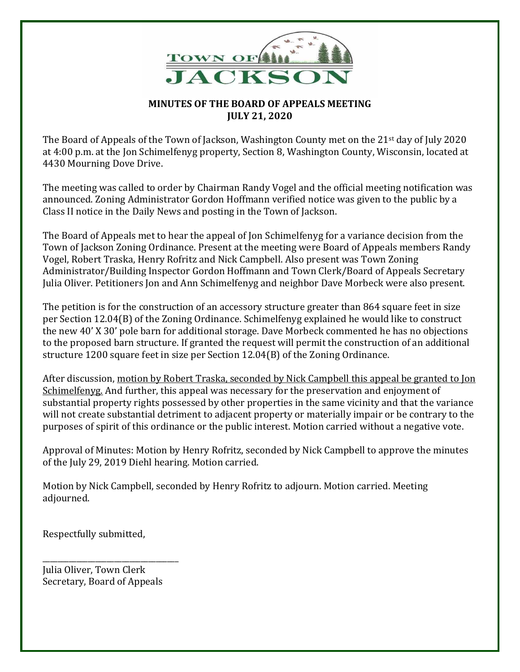

## **MINUTES OF THE BOARD OF APPEALS MEETING JULY 21, 2020**

The Board of Appeals of the Town of Jackson, Washington County met on the 21st day of July 2020 at 4:00 p.m. at the Jon Schimelfenyg property, Section 8, Washington County, Wisconsin, located at 4430 Mourning Dove Drive.

The meeting was called to order by Chairman Randy Vogel and the official meeting notification was announced. Zoning Administrator Gordon Hoffmann verified notice was given to the public by a Class II notice in the Daily News and posting in the Town of Jackson.

The Board of Appeals met to hear the appeal of Jon Schimelfenyg for a variance decision from the Town of Jackson Zoning Ordinance. Present at the meeting were Board of Appeals members Randy Vogel, Robert Traska, Henry Rofritz and Nick Campbell. Also present was Town Zoning Administrator/Building Inspector Gordon Hoffmann and Town Clerk/Board of Appeals Secretary Julia Oliver. Petitioners Jon and Ann Schimelfenyg and neighbor Dave Morbeck were also present.

The petition is for the construction of an accessory structure greater than 864 square feet in size per Section 12.04(B) of the Zoning Ordinance. Schimelfenyg explained he would like to construct the new 40' X 30' pole barn for additional storage. Dave Morbeck commented he has no objections to the proposed barn structure. If granted the request will permit the construction of an additional structure 1200 square feet in size per Section 12.04(B) of the Zoning Ordinance.

After discussion, motion by Robert Traska, seconded by Nick Campbell this appeal be granted to Jon Schimelfenyg. And further, this appeal was necessary for the preservation and enjoyment of substantial property rights possessed by other properties in the same vicinity and that the variance will not create substantial detriment to adjacent property or materially impair or be contrary to the purposes of spirit of this ordinance or the public interest. Motion carried without a negative vote.

Approval of Minutes: Motion by Henry Rofritz, seconded by Nick Campbell to approve the minutes of the July 29, 2019 Diehl hearing. Motion carried.

Motion by Nick Campbell, seconded by Henry Rofritz to adjourn. Motion carried. Meeting adjourned.

Respectfully submitted,

Julia Oliver, Town Clerk Secretary, Board of Appeals

\_\_\_\_\_\_\_\_\_\_\_\_\_\_\_\_\_\_\_\_\_\_\_\_\_\_\_\_\_\_\_\_\_\_\_\_